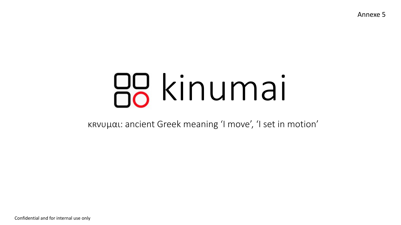Annexe 5

# kinumai

κʀνυμαι: ancient Greek meaning 'I move', 'I set in motion'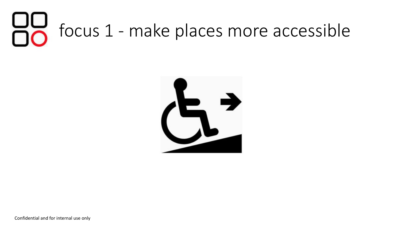#### Focus 1 - make places more accessible



Confidential and for internal use only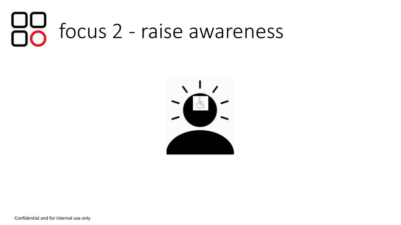#### HU focus 2 - raise awareness



Confidential and for internal use only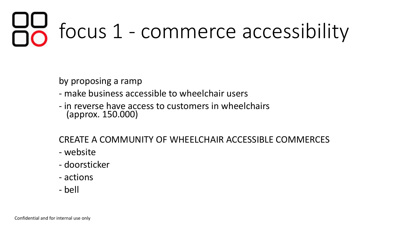# focus 1 - commerce accessibility

by proposing a ramp

- make business accessible to wheelchair users
- in reverse have access to customers in wheelchairs (approx. 150.000)

CREATE A COMMUNITY OF WHEELCHAIR ACCESSIBLE COMMERCES

- website
- doorsticker
- actions
- bell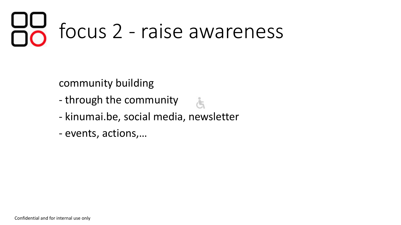### focus 2 - raise awareness

community building

- through the community
- kinumai.be, social media, newsletter

Å

- events, actions,…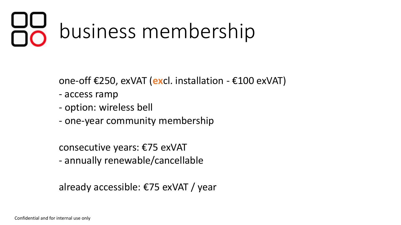### business membership

one-off €250, exVAT (**ex**cl. installation - €100 exVAT)

- access ramp
- option: wireless bell
- one-year community membership

consecutive years: €75 exVAT - annually renewable/cancellable

already accessible: €75 exVAT / year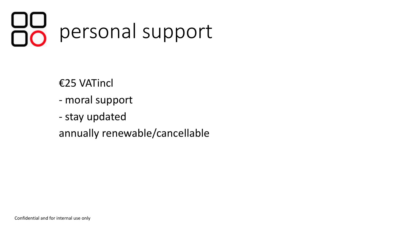## personal support

€25 VATincl

- moral support
- stay updated

annually renewable/cancellable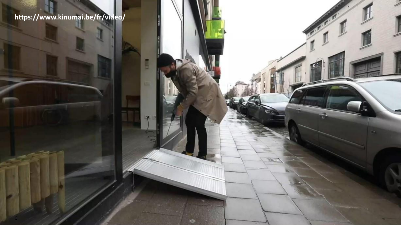#### **https://www.kinumai.be/fr/video/**

E

 $\circ$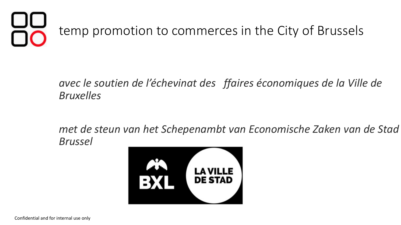

#### *avec le soutien de l'échevinat des ffaires économiques de la Ville de Bruxelles*

*met de steun van het Schepenambt van Economische Zaken van de Stad Brussel*

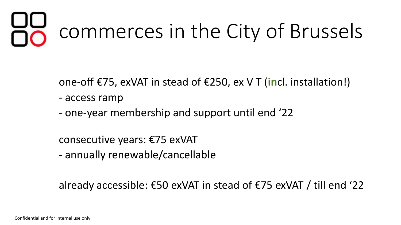### commerces in the City of Brussels

one-off €75, exVAT in stead of €250, ex V T (**in**cl. installation!)

- access ramp
- one-year membership and support until end '22

consecutive years: €75 exVAT

- annually renewable/cancellable

already accessible: €50 exVAT in stead of €75 exVAT / till end '22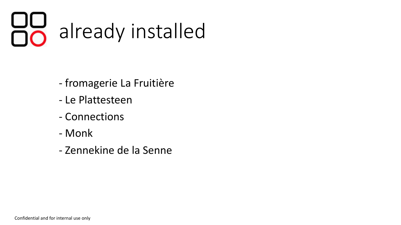#### 88 already installed

- fromagerie La Fruitière
- Le Plattesteen
- Connections
- Monk
- Zennekine de la Senne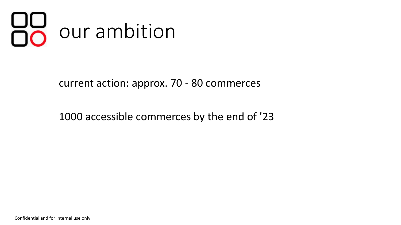

current action: approx. 70 - 80 commerces

1000 accessible commerces by the end of '23

Confidential and for internal use only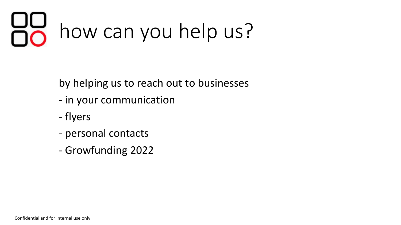#### **UU**<br>00 how can you help us?

by helping us to reach out to businesses

- in your communication
- flyers
- personal contacts
- Growfunding 2022